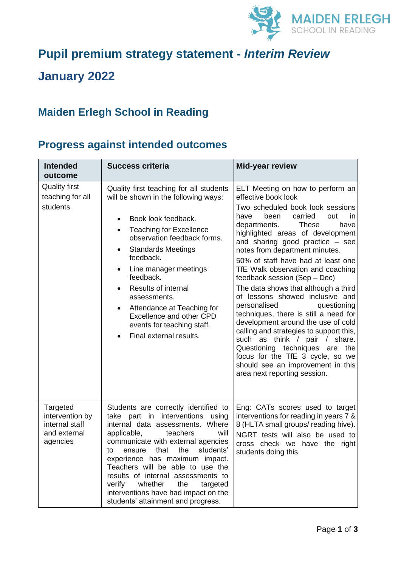

## **Pupil premium strategy statement -** *Interim Review*

## **January 2022**

## **Maiden Erlegh School in Reading**

## **Progress against intended outcomes**

| <b>Intended</b><br>outcome                                                | <b>Success criteria</b>                                                                                                                                                                                                                                                                                                                                                                                                                                                | <b>Mid-year review</b>                                                                                                                                                                                                                                                                                                                                                                                                                                                                                                                                                                                                                                                                                                                                                                                           |
|---------------------------------------------------------------------------|------------------------------------------------------------------------------------------------------------------------------------------------------------------------------------------------------------------------------------------------------------------------------------------------------------------------------------------------------------------------------------------------------------------------------------------------------------------------|------------------------------------------------------------------------------------------------------------------------------------------------------------------------------------------------------------------------------------------------------------------------------------------------------------------------------------------------------------------------------------------------------------------------------------------------------------------------------------------------------------------------------------------------------------------------------------------------------------------------------------------------------------------------------------------------------------------------------------------------------------------------------------------------------------------|
| <b>Quality first</b><br>teaching for all<br>students                      | Quality first teaching for all students<br>will be shown in the following ways:<br>Book look feedback.<br><b>Teaching for Excellence</b><br>$\bullet$<br>observation feedback forms.<br><b>Standards Meetings</b><br>$\bullet$<br>feedback.<br>Line manager meetings<br>feedback.<br>Results of internal<br>$\bullet$<br>assessments.<br>Attendance at Teaching for<br>$\bullet$<br>Excellence and other CPD<br>events for teaching staff.<br>Final external results.  | ELT Meeting on how to perform an<br>effective book look<br>Two scheduled book look sessions<br>carried<br>have<br>been<br>out<br>in.<br>departments.<br><b>These</b><br>have<br>highlighted areas of development<br>and sharing good practice - see<br>notes from department minutes.<br>50% of staff have had at least one<br>TfE Walk observation and coaching<br>feedback session (Sep - Dec)<br>The data shows that although a third<br>of lessons showed inclusive and<br>personalised<br>questioning<br>techniques, there is still a need for<br>development around the use of cold<br>calling and strategies to support this,<br>such as think / pair / share.<br>Questioning techniques are the<br>focus for the TfE 3 cycle, so we<br>should see an improvement in this<br>area next reporting session. |
| Targeted<br>intervention by<br>internal staff<br>and external<br>agencies | Students are correctly identified to<br>take part in interventions<br>using<br>internal data assessments. Where<br>teachers<br>applicable,<br>will<br>communicate with external agencies<br>students'<br>that<br>the<br>to<br>ensure<br>experience has maximum impact.<br>Teachers will be able to use the<br>results of internal assessments to<br>verify<br>whether<br>the<br>targeted<br>interventions have had impact on the<br>students' attainment and progress. | Eng: CATs scores used to target<br>interventions for reading in years 7 &<br>8 (HLTA small groups/ reading hive).<br>NGRT tests will also be used to<br>cross check we have the right<br>students doing this.                                                                                                                                                                                                                                                                                                                                                                                                                                                                                                                                                                                                    |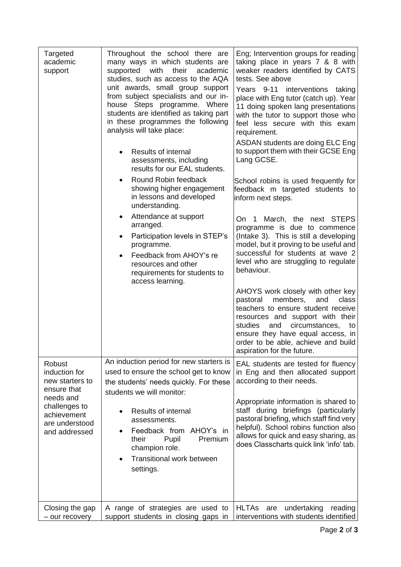| Targeted<br>academic<br>support                                                                                                           | Throughout the school there are<br>many ways in which students are<br>with<br>their<br>supported<br>academic<br>studies, such as access to the AQA<br>unit awards, small group support<br>from subject specialists and our in-<br>house Steps programme. Where<br>students are identified as taking part<br>in these programmes the following<br>analysis will take place: | Eng; Intervention groups for reading<br>taking place in years 7 & 8 with<br>weaker readers identified by CATS<br>tests. See above<br>Years 9-11 interventions taking<br>place with Eng tutor (catch up). Year<br>11 doing spoken lang presentations<br>with the tutor to support those who<br>feel less secure with this exam<br>requirement. |
|-------------------------------------------------------------------------------------------------------------------------------------------|----------------------------------------------------------------------------------------------------------------------------------------------------------------------------------------------------------------------------------------------------------------------------------------------------------------------------------------------------------------------------|-----------------------------------------------------------------------------------------------------------------------------------------------------------------------------------------------------------------------------------------------------------------------------------------------------------------------------------------------|
|                                                                                                                                           | Results of internal<br>assessments, including<br>results for our EAL students.                                                                                                                                                                                                                                                                                             | ASDAN students are doing ELC Eng<br>to support them with their GCSE Eng<br>Lang GCSE.                                                                                                                                                                                                                                                         |
|                                                                                                                                           | Round Robin feedback<br>showing higher engagement<br>in lessons and developed<br>understanding.                                                                                                                                                                                                                                                                            | School robins is used frequently for<br>feedback m targeted students to<br>inform next steps.                                                                                                                                                                                                                                                 |
|                                                                                                                                           | Attendance at support<br>$\bullet$<br>arranged.<br>Participation levels in STEP's<br>٠<br>programme.<br>Feedback from AHOY's re<br>resources and other<br>requirements for students to<br>access learning.                                                                                                                                                                 | On 1 March, the next STEPS<br>programme is due to commence<br>(Intake 3). This is still a developing<br>model, but it proving to be useful and<br>successful for students at wave 2<br>level who are struggling to regulate<br>behaviour.                                                                                                     |
|                                                                                                                                           |                                                                                                                                                                                                                                                                                                                                                                            | AHOYS work closely with other key<br>members,<br>pastoral<br>and<br>class<br>teachers to ensure student receive<br>resources and support with their<br>studies<br>and<br>circumstances,<br>to<br>ensure they have equal access, in<br>order to be able, achieve and build<br>aspiration for the future.                                       |
| Robust<br>induction for<br>new starters to<br>ensure that<br>needs and<br>challenges to<br>achievement<br>are understood<br>and addressed | An induction period for new starters is<br>used to ensure the school get to know<br>the students' needs quickly. For these<br>students we will monitor:                                                                                                                                                                                                                    | EAL students are tested for fluency<br>in Eng and then allocated support<br>according to their needs.                                                                                                                                                                                                                                         |
|                                                                                                                                           | Results of internal<br>assessments.<br>Feedback from AHOY's in<br>Pupil<br>Premium<br>their<br>champion role.<br><b>Transitional work between</b><br>settings.                                                                                                                                                                                                             | Appropriate information is shared to<br>staff during briefings (particularly<br>pastoral briefing, which staff find very<br>helpful). School robins function also<br>allows for quick and easy sharing, as<br>does Classcharts quick link 'info' tab.                                                                                         |
| Closing the gap<br>- our recovery                                                                                                         | A range of strategies are used to<br>support students in closing gaps in                                                                                                                                                                                                                                                                                                   | <b>HLTAs</b><br>undertaking<br>reading<br>are<br>interventions with students identified                                                                                                                                                                                                                                                       |